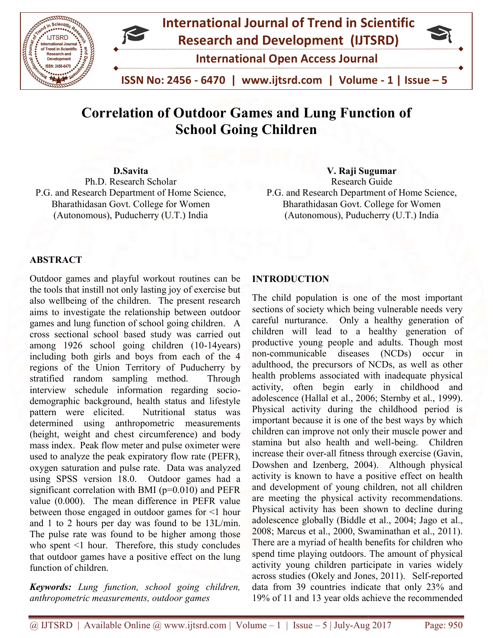

# Correlation of Outdoor Games and Lung Function of School Going Children

D.Savita Ph.D. Research Scholar P.G. and Research Department of Home Science, Bharathidasan Govt. College for Women (Autonomous), Puducherry (U.T.) India **Scholar Cause 19:30**<br> **Science,** P.G. and Research Guide<br>
Research Department of Home Science, Bharathidasan Govt. College for Women<br>
(Autonomous), Puducherry (U.T.) India (Autonomous), Puducherry (U.T.) India

# V. Raji Sugumar

Research Guide Research Guide<br>P.G. and Research Department of Home Science, Bharathidasan Govt. College for Women (Autonomous), Puducherry (U.T.) India

### **ABSTRACT**

Outdoor games and playful workout routines can be the tools that instill not only lasting joy of exercise but also wellbeing of the children. The present research aims to investigate the relationship between outdoor games and lung function of school going children. A cross sectional school based study was carried out Outdoor games and playful workout routines can be<br>the tools that instill not only lasting joy of exercise but<br>also wellbeing of the children. The present research<br>aims to investigate the relationship between outdoor<br>games including both girls and boys from each of the 4 regions of the Union Territory of Puducherry by stratified random sampling method. Through interview schedule information regarding socio demographic background, health status and lifestyle pattern were elicited. Nutritional status was determined using anthropometric measurements (height, weight and chest circumference) and body mass index. Peak flow meter and pulse oximeter were used to analyze the peak expiratory flow rate (PEFR), oxygen saturation and pulse rate. Data was analyzed using SPSS version 18.0. Outdoor games had a significant correlation with BMI ( $p=0.010$ ) and PEFR value (0.000). The mean difference in PEFR value between those engaged in outdoor games for <1 hour and 1 to 2 hours per day was found to be 13L/min. The pulse rate was found to be higher among those who spent <1 hour. Therefore, this study concludes that outdoor games have a positive effect on the lung function of children. including both girls and boys from each of the 4<br>regions of the Union Territory of Puducherry by<br>stratified random sampling method. Through<br>interview schedule information regarding sociobackground, health status and lifestyle<br>elicited. Nutritional status was<br>using anthropometric measurements<br>ht and chest circumference) and body<br>'eak flow meter and pulse oximeter were used to analyze the peak expiratory flow rate (PEFR), oxygen saturation and pulse rate. Data was analyzed using SPSS version 18.0. Outdoor games had a significant correlation with BMI (p=0.010) and PEFR value (0.000). The oor games and playful workout routines can be **INTRODUCTION**<br>ols that initial not only lasting joy of exercise but<br>melibeing of the children. The present research The child populatio<br>to investigate the relationship between

Keywords: Lung function, school going children, anthropometric measurements, outdoor games

The child population is one of the most important sections of society which being vulnerable needs very careful nurturance. Only a healthy generation of children will lead to a healthy generation of productive young people and adults. Though most non-communicable diseases (NCDs) occur in adulthood, the precursors of NCDs, as well as other health problems associated with inadequate physical activity, often begin early in childhood and adolescence (Hallal et al., 2006; Sternby et al., 1999). Physical activity during the childhood period is important because it is one of the best ways by which children can improve not only their muscle power and stamina but also health and well-being. Children increase their over-all fitness through exercise (Gavin, Dowshen and Izenberg, 2004). Although physical activity is known to have a positive effect on health and development of young children, not all children are meeting the physical activity recommendations. Physical activity has been shown to decline during adolescence globally (Biddle et al., 2004; Jago et al., 2008; Marcus et al., 2000, Swaminathan et al., 2011). There are a myriad of health benefits for children who spend time playing outdoors. The amount of physical activity young children participate in varies widely activity young children participate in varies widely<br>across studies (Okely and Jones, 2011). Self-reported data from 39 countries indicate that only 23% and data from 39 countries indicate that only 23% and 19% of 11 and 13 year olds achieve the recommended Bharathidasan Govt. College for Women (Autonomous), Puducherry (U.T.) India<br>
RODUCTION<br>
child population is one of the most important<br>
ons of society which being vulnerable needs very<br>
ful nurturance. Only a healthy genera Exercise (Gavin, Izenberg, 2004). Although physical is known to have a positive effect on health velopment of young children, not all children eting the physical activity recommendations. I activity has been shown to decli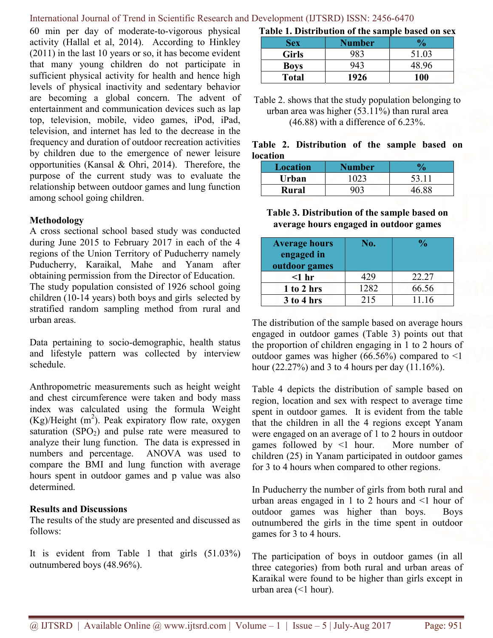60 min per day of moderate-to-vigorous physical activity (Hallal et al, 2014). According to Hinkley (2011) in the last 10 years or so, it has become evident that many young children do not participate in sufficient physical activity for health and hence high levels of physical inactivity and sedentary behavior are becoming a global concern. The advent of entertainment and communication devices such as lap top, television, mobile, video games, iPod, iPad, television, and internet has led to the decrease in the frequency and duration of outdoor recreation activities by children due to the emergence of newer leisure opportunities (Kansal & Ohri, 2014). Therefore, the purpose of the current study was to evaluate the relationship between outdoor games and lung function among school going children.

### Methodology

A cross sectional school based study was conducted during June 2015 to February 2017 in each of the 4 regions of the Union Territory of Puducherry namely Puducherry, Karaikal, Mahe and Yanam after obtaining permission from the Director of Education. The study population consisted of 1926 school going children (10-14 years) both boys and girls selected by stratified random sampling method from rural and urban areas.

Data pertaining to socio-demographic, health status and lifestyle pattern was collected by interview schedule.

Anthropometric measurements such as height weight and chest circumference were taken and body mass index was calculated using the formula Weight  $(Kg)/Height (m<sup>2</sup>)$ . Peak expiratory flow rate, oxygen saturation  $(SPO<sub>2</sub>)$  and pulse rate were measured to analyze their lung function. The data is expressed in numbers and percentage. ANOVA was used to compare the BMI and lung function with average hours spent in outdoor games and p value was also determined.

### Results and Discussions

The results of the study are presented and discussed as follows:

It is evident from Table 1 that girls (51.03%) outnumbered boys (48.96%).

Table 1. Distribution of the sample based on sex

| Sex          | Number |       |
|--------------|--------|-------|
| <b>Girls</b> | 983    | 51.03 |
| <b>Boys</b>  | 943    | 48.96 |
| <b>Total</b> | 1926   | 100   |

Table 2. shows that the study population belonging to urban area was higher (53.11%) than rural area (46.88) with a difference of 6.23%.

# Table 2. Distribution of the sample based on location

| <b>Location</b> | Number |       |
|-----------------|--------|-------|
| Urban           | 023    | 53.1  |
| Rural           |        | 16 QQ |

Table 3. Distribution of the sample based on average hours engaged in outdoor games

| <b>Average hours</b><br>engaged in<br>outdoor games | No.  | $\frac{0}{\alpha}$ |
|-----------------------------------------------------|------|--------------------|
| $<$ 1 hr                                            | 429  | 22.27              |
| $1$ to $2$ hrs                                      | 1282 | 66.56              |
| $3$ to $4$ hrs                                      | 215  | 11.16              |

The distribution of the sample based on average hours engaged in outdoor games (Table 3) points out that the proportion of children engaging in 1 to 2 hours of outdoor games was higher (66.56%) compared to  $\leq 1$ hour (22.27%) and 3 to 4 hours per day (11.16%).

Table 4 depicts the distribution of sample based on region, location and sex with respect to average time spent in outdoor games. It is evident from the table that the children in all the 4 regions except Yanam were engaged on an average of 1 to 2 hours in outdoor games followed by <1 hour. More number of children (25) in Yanam participated in outdoor games for 3 to 4 hours when compared to other regions.

In Puducherry the number of girls from both rural and urban areas engaged in  $1$  to  $2$  hours and  $\leq 1$  hour of outdoor games was higher than boys. Boys outnumbered the girls in the time spent in outdoor games for 3 to 4 hours.

The participation of boys in outdoor games (in all three categories) from both rural and urban areas of Karaikal were found to be higher than girls except in urban area (<1 hour).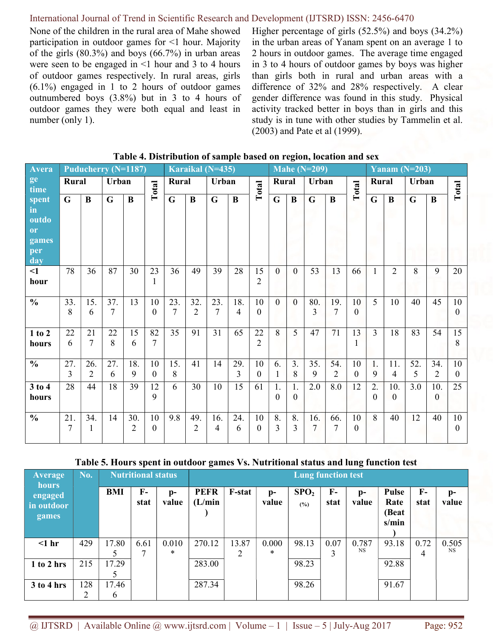None of the children in the rural area of Mahe showed participation in outdoor games for <1 hour. Majority of the girls (80.3%) and boys (66.7%) in urban areas were seen to be engaged in  $\leq 1$  hour and 3 to 4 hours of outdoor games respectively. In rural areas, girls (6.1%) engaged in 1 to 2 hours of outdoor games outnumbered boys (3.8%) but in 3 to 4 hours of outdoor games they were both equal and least in number (only 1).

Higher percentage of girls (52.5%) and boys (34.2%) in the urban areas of Yanam spent on an average 1 to 2 hours in outdoor games. The average time engaged in 3 to 4 hours of outdoor games by boys was higher than girls both in rural and urban areas with a difference of 32% and 28% respectively. A clear gender difference was found in this study. Physical activity tracked better in boys than in girls and this study is in tune with other studies by Tammelin et al. (2003) and Pate et al (1999).

| <b>Avera</b>              |                       |                       |          | Puducherry (N=1187)   |                      |             |                       | Karaikal (N=435) |          |                      | Mahe $(N=209)$ |                      |             |                       |                | Yanam $(N=203)$      |                       |             |                       |                    |  |
|---------------------------|-----------------------|-----------------------|----------|-----------------------|----------------------|-------------|-----------------------|------------------|----------|----------------------|----------------|----------------------|-------------|-----------------------|----------------|----------------------|-----------------------|-------------|-----------------------|--------------------|--|
| $\sqrt{\frac{ge}{time}}$  | Rural                 |                       | Urban    |                       | Total                | Rural       |                       | Urban            |          | Total                | Rural          |                      | Urban       |                       | Total          | Rural                |                       | Urban       |                       | Total              |  |
| spent<br>in<br>outdo      | $\mathbf G$           | $\bf{B}$              | G        | $\bf{B}$              |                      | $\mathbf G$ | $\bf{B}$              | $\mathbf G$      | $\bf{B}$ |                      | $\mathbf G$    | $\bf{B}$             | $\mathbf G$ | $\bf{B}$              |                | $\mathbf G$          | $\bf{B}$              | $\mathbf G$ | B                     |                    |  |
| or<br>games<br>per<br>day |                       |                       |          |                       |                      |             |                       |                  |          |                      |                |                      |             |                       |                |                      |                       |             |                       |                    |  |
| $\leq$ 1<br>hour          | 78                    | 36                    | 87       | 30                    | 23<br>1              | 36          | 49                    | 39               | 28       | 15<br>$\overline{2}$ | $\Omega$       | $\overline{0}$       | 53          | 13                    | 66             | $\mathbf{1}$         | $\overline{2}$        | 8           | 9                     | 20                 |  |
| $\frac{6}{6}$             | 33.<br>8              | 15.<br>6              | 37.<br>7 | 13                    | 10<br>$\theta$       | 23.<br>7    | 32.<br>$\overline{2}$ | 23.<br>7         | 18.<br>4 | 10<br>$\Omega$       | $\overline{0}$ | $\mathbf{0}$         | 80.<br>3    | 19.<br>7              | 10<br>$\Omega$ | 5                    | 10                    | 40          | 45                    | 10<br>$\Omega$     |  |
| 1 to 2<br>hours           | 22<br>6               | 21<br>7               | 22<br>8  | 15<br>6               | 82<br>7              | 35          | 91                    | 31               | 65       | 22<br>$\overline{2}$ | 8              | 5                    | 47          | 71                    | 13<br>1        | $\overline{3}$       | 18                    | 83          | 54                    | 15<br>8            |  |
| $\frac{0}{0}$             | 27.<br>$\overline{3}$ | 26.<br>$\overline{2}$ | 27.<br>6 | 18.<br>9              | 10<br>$\mathbf{0}$   | 15.<br>8    | 41                    | 14               | 29.<br>3 | 10<br>$\theta$       | 6.<br>1        | 3.<br>8              | 35.<br>9    | 54.<br>$\overline{2}$ | 10<br>$\theta$ | 1.<br>9              | 11.<br>$\overline{4}$ | 52.<br>5    | 34.<br>$\overline{2}$ | 10<br>$\theta$     |  |
| 3 to 4<br>hours           | 28                    | 44                    | 18       | 39                    | 12<br>9              | 6           | 30                    | 10               | 15       | 61                   | 1.<br>$\theta$ | 1.<br>$\overline{0}$ | 2.0         | 8.0                   | 12             | 2.<br>$\overline{0}$ | 10.<br>$\theta$       | 3.0         | 10.<br>$\mathbf{0}$   | 25                 |  |
| $\frac{0}{0}$             | 21.<br>$\overline{7}$ | 34.<br>1              | 14       | 30.<br>$\overline{2}$ | 10<br>$\overline{0}$ | 9.8         | 49.<br>$\overline{2}$ | 16.<br>4         | 24.<br>6 | 10<br>$\mathbf{0}$   | 8.<br>3        | 8.<br>3              | 16.<br>7    | 66.<br>7              | 10<br>$\theta$ | 8                    | 40                    | 12          | 40                    | 10<br>$\mathbf{0}$ |  |

# Table 4. Distribution of sample based on region, location and sex

### Table 5. Hours spent in outdoor games Vs. Nutritional status and lung function test

| <b>Average</b>                                 | No. |              | <b>Nutritional status</b> |                | o<br><b>Lung function test</b> |               |               |                         |              |               |                                 |              |                       |  |  |
|------------------------------------------------|-----|--------------|---------------------------|----------------|--------------------------------|---------------|---------------|-------------------------|--------------|---------------|---------------------------------|--------------|-----------------------|--|--|
| <b>hours</b><br>engaged<br>in outdoor<br>games |     | <b>BMI</b>   | $\mathbf{F}$<br>stat      | $D -$<br>value | <b>PEFR</b><br>(L/min)         | <b>F-stat</b> | $p-$<br>value | SPO <sub>2</sub><br>(%) | $F-$<br>stat | $p-$<br>value | Pulse<br>Rate<br>(Beat<br>s/min | $F-$<br>stat | $\mathbf{D}$<br>value |  |  |
| $<$ 1 hr                                       | 429 | 17.80        | 6.61                      | 0.010          | 270.12                         | 13.87         | 0.000         | 98.13                   | 0.07         | 0.787         | 93.18                           | 0.72         | 0.505                 |  |  |
|                                                |     |              | 7                         | *              |                                |               | *             |                         | 3            | <b>NS</b>     |                                 | 4            | <b>NS</b>             |  |  |
| 1 to 2 hrs                                     | 215 | 17.29        |                           |                | 283.00                         |               |               | 98.23                   |              |               | 92.88                           |              |                       |  |  |
|                                                |     |              |                           |                |                                |               |               |                         |              |               |                                 |              |                       |  |  |
| 3 to 4 hrs                                     | 128 | 17.46        |                           |                | 287.34                         |               |               | 98.26                   |              |               | 91.67                           |              |                       |  |  |
|                                                | 2   | <sub>b</sub> |                           |                |                                |               |               |                         |              |               |                                 |              |                       |  |  |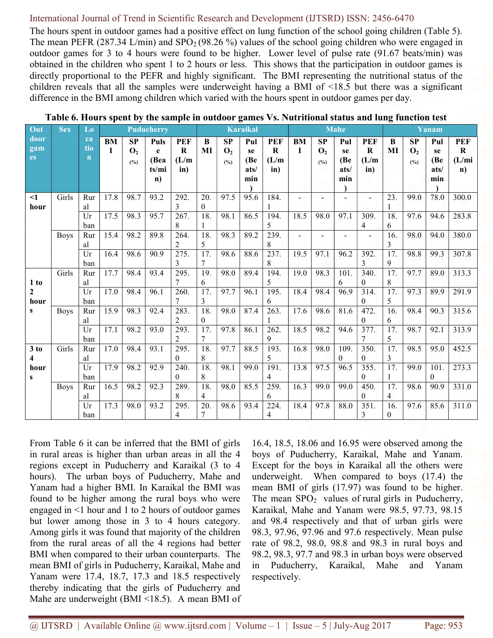The hours spent in outdoor games had a positive effect on lung function of the school going children (Table 5). The mean PEFR (287.34 L/min) and  $SPO<sub>2</sub>(98.26%)$  values of the school going children who were engaged in outdoor games for 3 to 4 hours were found to be higher. Lower level of pulse rate (91.67 beats/min) was obtained in the children who spent 1 to 2 hours or less. This shows that the participation in outdoor games is directly proportional to the PEFR and highly significant. The BMI representing the nutritional status of the children reveals that all the samples were underweight having a BMI of <18.5 but there was a significant difference in the BMI among children which varied with the hours spent in outdoor games per day.

| Out          | <b>Sex</b>  | $\mathbf{L}\mathbf{0}$ | <b>Puducherry</b> |                |              |                    |                   | <b>Karaikal</b> |      |                    |      | <b>Mahe</b>    |          |                  |                   | Yanam          |              |              |  |
|--------------|-------------|------------------------|-------------------|----------------|--------------|--------------------|-------------------|-----------------|------|--------------------|------|----------------|----------|------------------|-------------------|----------------|--------------|--------------|--|
| door         |             | ca                     | <b>BM</b>         | <b>SP</b>      | Puls         | PEF                | B                 | <b>SP</b>       | Pul  | PEF                | BM   | <b>SP</b>      | Pul      | <b>PEF</b>       | B                 | <b>SP</b>      | Pul          | <b>PEF</b>   |  |
| gam          |             | tio                    | I                 | $\mathbf{O}_2$ | e            | $\bf R$            | MI                | $\mathbf{O}_2$  | se   | ${\bf R}$          | I    | $\mathbf{O}_2$ | se       | $\mathbf R$      | MI                | $\mathbf{O}_2$ | se           | $\mathbf R$  |  |
| es           |             | $\mathbf n$            |                   | $(^{0}/_{0})$  | (Bea         | (L/m)              |                   | $(^{0}/_{0})$   | (Be  | (L/m)              |      | (%)            | (Be      | (L/m)            |                   | (%)            | (Be          | (L/mi)       |  |
|              |             |                        |                   |                | ts/mi        | in)                |                   |                 | ats/ | in)                |      |                | ats/     | in)              |                   |                | ats/         | $\mathbf{n}$ |  |
|              |             |                        |                   |                | $\mathbf{n}$ |                    |                   |                 | min  |                    |      |                | min      |                  |                   |                | min          |              |  |
| $\leq$ 1     | Girls       | Rur                    | 17.8              | 98.7           | 93.2         | 292.               | 20.               | 97.5            | 95.6 | 184.               |      |                |          | $\overline{a}$   | 23.               | 99.0           | 78.0         | 300.0        |  |
| hour         |             | al                     |                   |                |              | 3                  | $\theta$          |                 |      |                    |      |                |          |                  |                   |                |              |              |  |
|              |             | Ur                     | 17.5              | 98.3           | 95.7         | 267.               | 18.               | 98.1            | 86.5 | 194.               | 18.5 | 98.0           | 97.1     | 309.             | 18.               | 97.6           | 94.6         | 283.8        |  |
|              |             | ban                    |                   |                |              | 8                  | 1                 |                 |      | 5                  |      |                |          | 4                | 6                 |                |              |              |  |
|              | <b>Boys</b> | Rur                    | 15.4              | 98.2           | 89.8         | 264.               | 18.               | 98.3            | 89.2 | 239.               |      |                |          |                  | 16.               | 98.0           | 94.0         | 380.0        |  |
|              |             | al                     |                   |                |              | 2                  | 5                 |                 |      | 8                  |      |                |          |                  | 3                 |                |              |              |  |
|              |             | $\overline{Ur}$        | 16.4              | 98.6           | 90.9         | $\overline{275}$ . | $\overline{17}$ . | 98.6            | 88.6 | $\overline{237}$ . | 19.5 | 97.1           | 96.2     | 392.             | 17.               | 98.8           | 99.3         | 307.8        |  |
|              |             | ban                    |                   |                |              | 3                  | 7                 |                 |      | 8                  |      |                |          | 3                | 9                 |                |              |              |  |
|              | Girls       | Rur                    | 17.7              | 98.4           | 93.4         | 295.               | 19.               | 98.0            | 89.4 | 194.               | 19.0 | 98.3           | 101.     | 340.             | 17.               | 97.7           | 89.0         | 313.3        |  |
| 1 to         |             | al                     |                   |                |              | 7                  | 6                 |                 |      | 5                  |      |                | 6        | $\mathbf{0}$     | 8                 |                |              |              |  |
| $\mathbf{2}$ |             | Ur                     | 17.0              | 98.4           | 96.1         | 260.               | 17.               | 97.7            | 96.1 | 195.               | 18.4 | 98.4           | 96.9     | 314.             | 17.               | 97.3           | 89.9         | 291.9        |  |
| hour         |             | ban                    |                   |                |              | $\overline{7}$     | 3                 |                 |      | 6                  |      |                |          | $\theta$         | 5                 |                |              |              |  |
| s            | <b>Boys</b> | Rur<br>al              | 15.9              | 98.3           | 92.4         | 283.<br>2          | 18.<br>$\theta$   | 98.0            | 87.4 | 263.               | 17.6 | 98.6           | 81.6     | 472.<br>$\Omega$ | 16.<br>6          | 98.4           | 90.3         | 315.6        |  |
|              |             | Ur                     | 17.1              | 98.2           | 93.0         | 293.               | 17.               | 97.8            | 86.1 | 262.               | 18.5 | 98.2           | 94.6     | 377.             | 17.               | 98.7           | 92.1         | 313.9        |  |
|              |             | ban                    |                   |                |              | $\overline{2}$     | 7                 |                 |      | 9                  |      |                |          | 7                | 5                 |                |              |              |  |
| 3 to         | Girls       | Rur                    | 17.0              | 98.4           | 93.1         | 295.               | 18.               | 97.7            | 88.5 | 193.               | 16.8 | 98.0           | 109.     | 350.             | $\overline{17}$ . | 98.5           | 95.0         | 452.5        |  |
| 4            |             | al                     |                   |                |              | $\theta$           | 8                 |                 |      | 5                  |      |                | $\theta$ | $\theta$         | 3                 |                |              |              |  |
| hour         |             | Ur                     | 17.9              | 98.2           | 92.9         | 240.               | 18.               | 98.1            | 99.0 | 191.               | 13.8 | 97.5           | 96.5     | 355.             | $\overline{17}$ . | 99.0           | 101.         | 273.3        |  |
| S            |             | ban                    |                   |                |              | $\theta$           | 8                 |                 |      | 4                  |      |                |          | $\theta$         |                   |                | $\mathbf{0}$ |              |  |
|              | <b>Boys</b> | Rur                    | 16.5              | 98.2           | 92.3         | 289.               | 18.               | 98.0            | 85.5 | 259.               | 16.3 | 99.0           | 99.0     | 450.             | 17.               | 98.6           | 90.9         | 331.0        |  |
|              |             | al                     |                   |                |              | 8                  | $\overline{4}$    |                 |      | 6                  |      |                |          | $\overline{0}$   | $\overline{4}$    |                |              |              |  |
|              |             | Ur                     | 17.3              | 98.0           | 93.2         | 295.               | 20.               | 98.6            | 93.4 | 224.               | 18.4 | 97.8           | 88.0     | 351.             | 16.               | 97.6           | 85.6         | 311.0        |  |
|              |             | ban                    |                   |                |              | 4                  | 7                 |                 |      | 4                  |      |                |          | 3                | $\boldsymbol{0}$  |                |              |              |  |

|  |  |  | Table 6. Hours spent by the sample in outdoor games Vs. Nutritional status and lung function test |  |
|--|--|--|---------------------------------------------------------------------------------------------------|--|
|  |  |  |                                                                                                   |  |

From Table 6 it can be inferred that the BMI of girls in rural areas is higher than urban areas in all the 4 regions except in Puducherry and Karaikal (3 to 4 hours). The urban boys of Puducherry, Mahe and Yanam had a higher BMI. In Karaikal the BMI was found to be higher among the rural boys who were engaged in <1 hour and 1 to 2 hours of outdoor games but lower among those in 3 to 4 hours category. Among girls it was found that majority of the children from the rural areas of all the 4 regions had better BMI when compared to their urban counterparts. The mean BMI of girls in Puducherry, Karaikal, Mahe and Yanam were 17.4, 18.7, 17.3 and 18.5 respectively thereby indicating that the girls of Puducherry and Mahe are underweight (BMI <18.5). A mean BMI of

16.4, 18.5, 18.06 and 16.95 were observed among the boys of Puducherry, Karaikal, Mahe and Yanam. Except for the boys in Karaikal all the others were underweight. When compared to boys (17.4) the mean BMI of girls (17.97) was found to be higher. The mean  $SPO<sub>2</sub>$  values of rural girls in Puducherry, Karaikal, Mahe and Yanam were 98.5, 97.73, 98.15 and 98.4 respectively and that of urban girls were 98.3, 97.96, 97.96 and 97.6 respectively. Mean pulse rate of 98.2, 98.0, 98.8 and 98.3 in rural boys and 98.2, 98.3, 97.7 and 98.3 in urban boys were observed in Puducherry, Karaikal, Mahe and Yanam respectively.